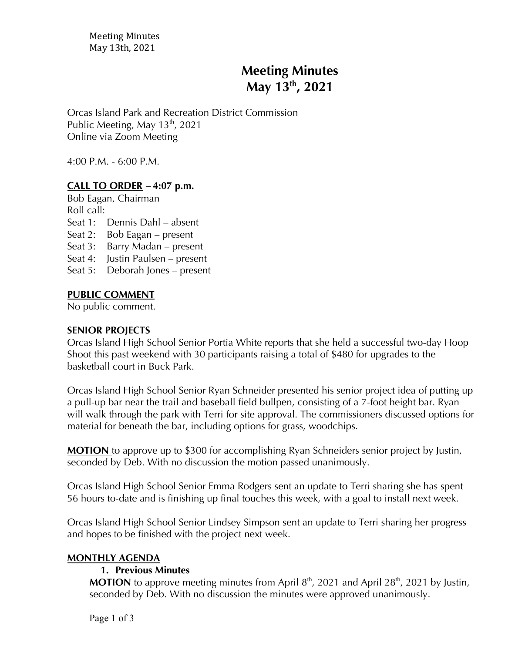Meeting Minutes May 13th, 2021

# **Meeting Minutes May 13th , 2021**

Orcas Island Park and Recreation District Commission Public Meeting, May  $13<sup>th</sup>$ , 2021 Online via Zoom Meeting

4:00 P.M. - 6:00 P.M.

# **CALL TO ORDER – 4:07 p.m.**

Bob Eagan, Chairman Roll call: Seat 1: Dennis Dahl – absent Seat 2: Bob Eagan – present

Seat 3: Barry Madan – present

Seat 4: Justin Paulsen – present

Seat 5: Deborah Jones – present

#### **PUBLIC COMMENT**

No public comment.

#### **SENIOR PROJECTS**

Orcas Island High School Senior Portia White reports that she held a successful two-day Hoop Shoot this past weekend with 30 participants raising a total of \$480 for upgrades to the basketball court in Buck Park.

Orcas Island High School Senior Ryan Schneider presented his senior project idea of putting up a pull-up bar near the trail and baseball field bullpen, consisting of a 7-foot height bar. Ryan will walk through the park with Terri for site approval. The commissioners discussed options for material for beneath the bar, including options for grass, woodchips.

**MOTION** to approve up to \$300 for accomplishing Ryan Schneiders senior project by Justin, seconded by Deb. With no discussion the motion passed unanimously.

Orcas Island High School Senior Emma Rodgers sent an update to Terri sharing she has spent 56 hours to-date and is finishing up final touches this week, with a goal to install next week.

Orcas Island High School Senior Lindsey Simpson sent an update to Terri sharing her progress and hopes to be finished with the project next week.

#### **MONTHLY AGENDA**

#### **1. Previous Minutes**

**MOTION** to approve meeting minutes from April 8<sup>th</sup>, 2021 and April 28<sup>th</sup>, 2021 by Justin, seconded by Deb. With no discussion the minutes were approved unanimously.

Page 1 of 3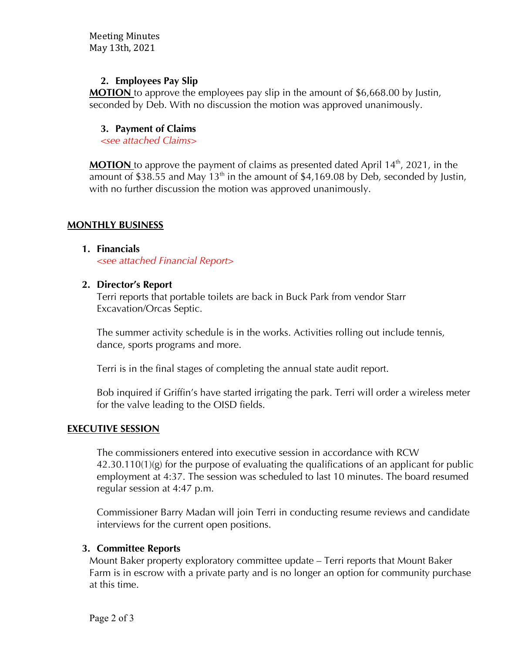# **2. Employees Pay Slip**

**MOTION** to approve the employees pay slip in the amount of \$6,668.00 by Justin, seconded by Deb. With no discussion the motion was approved unanimously.

## **3. Payment of Claims**

*<see attached Claims>*

**MOTION** to approve the payment of claims as presented dated April  $14<sup>th</sup>$ , 2021, in the amount of \$38.55 and May  $13<sup>th</sup>$  in the amount of \$4,169.08 by Deb, seconded by Justin, with no further discussion the motion was approved unanimously.

# **MONTHLY BUSINESS**

## **1. Financials**

*<see attached Financial Report>*

## **2. Director's Report**

Terri reports that portable toilets are back in Buck Park from vendor Starr Excavation/Orcas Septic.

The summer activity schedule is in the works. Activities rolling out include tennis, dance, sports programs and more.

Terri is in the final stages of completing the annual state audit report.

Bob inquired if Griffin's have started irrigating the park. Terri will order a wireless meter for the valve leading to the OISD fields.

## **EXECUTIVE SESSION**

The commissioners entered into executive session in accordance with RCW 42.30.110(1)(g) for the purpose of evaluating the qualifications of an applicant for public employment at 4:37. The session was scheduled to last 10 minutes. The board resumed regular session at 4:47 p.m.

Commissioner Barry Madan will join Terri in conducting resume reviews and candidate interviews for the current open positions.

## **3. Committee Reports**

Mount Baker property exploratory committee update – Terri reports that Mount Baker Farm is in escrow with a private party and is no longer an option for community purchase at this time.